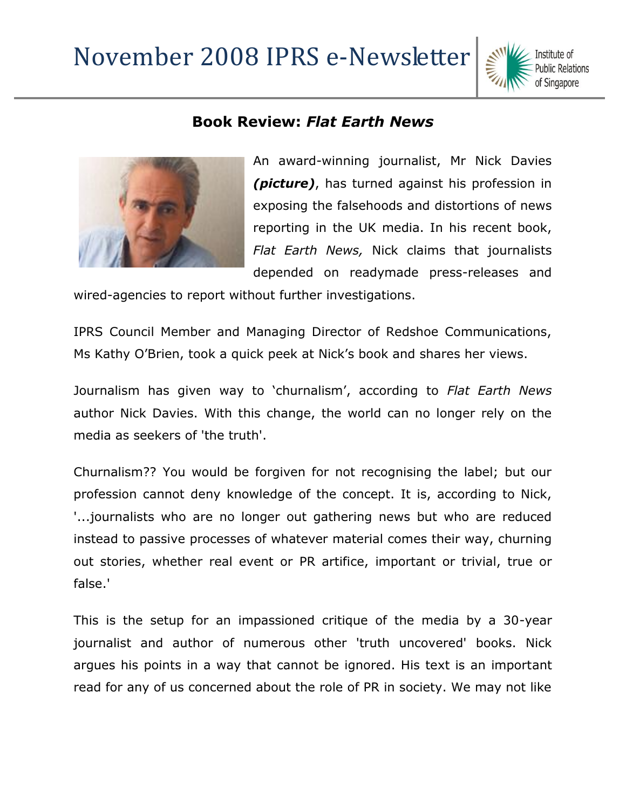## November 2008 IPRS e-Newsletter



## **Book Review:** *Flat Earth News*



An award-winning journalist, Mr Nick Davies *(picture)*, has turned against his profession in exposing the falsehoods and distortions of news reporting in the UK media. In his recent book, *Flat Earth News,* Nick claims that journalists depended on readymade press-releases and

wired-agencies to report without further investigations.

IPRS Council Member and Managing Director of Redshoe Communications, Ms Kathy O'Brien, took a quick peek at Nick's book and shares her views.

Journalism has given way to 'churnalism', according to *Flat Earth News* author Nick Davies. With this change, the world can no longer rely on the media as seekers of 'the truth'.

Churnalism?? You would be forgiven for not recognising the label; but our profession cannot deny knowledge of the concept. It is, according to Nick, '...journalists who are no longer out gathering news but who are reduced instead to passive processes of whatever material comes their way, churning out stories, whether real event or PR artifice, important or trivial, true or false.'

This is the setup for an impassioned critique of the media by a 30-year journalist and author of numerous other 'truth uncovered' books. Nick argues his points in a way that cannot be ignored. His text is an important read for any of us concerned about the role of PR in society. We may not like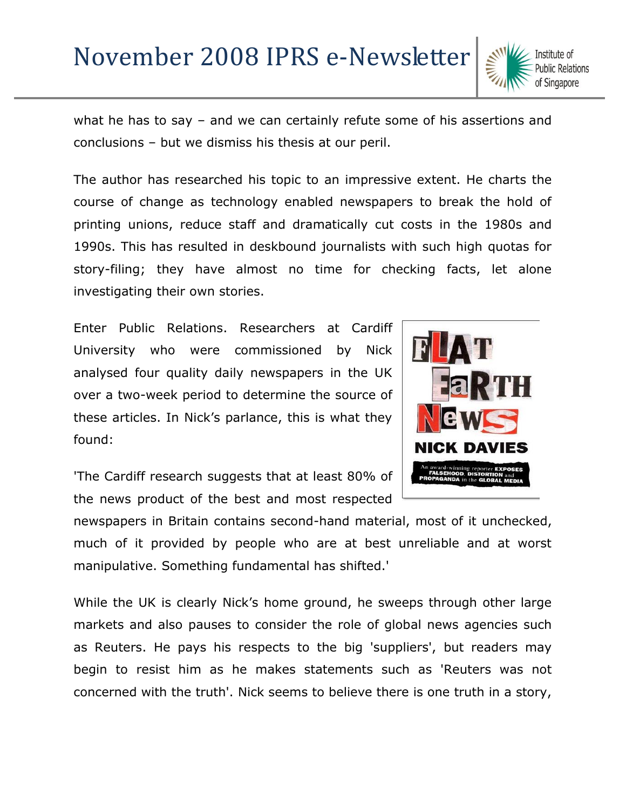## November 2008 IPRS e-Newsletter

what he has to say – and we can certainly refute some of his assertions and conclusions – but we dismiss his thesis at our peril.

The author has researched his topic to an impressive extent. He charts the course of change as technology enabled newspapers to break the hold of printing unions, reduce staff and dramatically cut costs in the 1980s and 1990s. This has resulted in deskbound journalists with such high quotas for story-filing; they have almost no time for checking facts, let alone investigating their own stories.

Enter Public Relations. Researchers at Cardiff University who were commissioned by Nick analysed four quality daily newspapers in the UK over a two-week period to determine the source of these articles. In Nick's parlance, this is what they found:



'The Cardiff research suggests that at least 80% of the news product of the best and most respected

newspapers in Britain contains second-hand material, most of it unchecked, much of it provided by people who are at best unreliable and at worst manipulative. Something fundamental has shifted.'

While the UK is clearly Nick's home ground, he sweeps through other large markets and also pauses to consider the role of global news agencies such as Reuters. He pays his respects to the big 'suppliers', but readers may begin to resist him as he makes statements such as 'Reuters was not concerned with the truth'. Nick seems to believe there is one truth in a story,